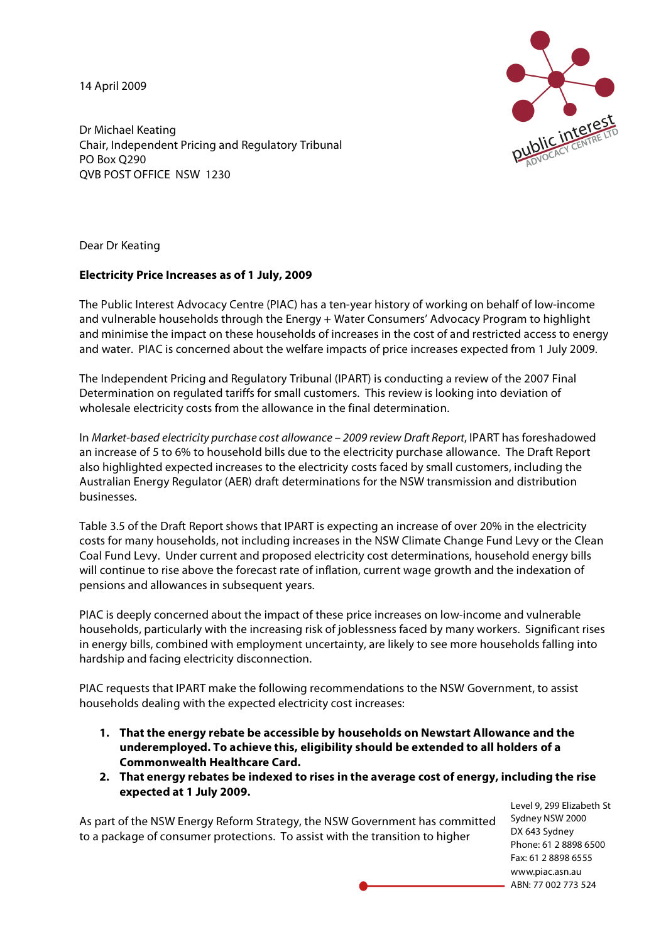14 April 2009



Dr Michael Keating Chair, Independent Pricing and Regulatory Tribunal PO Box Q290 QVB POST OFFICE NSW 1230

Dear Dr Keating

## **Electricity Price Increases as of 1 July, 2009**

The Public Interest Advocacy Centre (PIAC) has a ten-year history of working on behalf of low-income and vulnerable households through the Energy + Water Consumers' Advocacy Program to highlight and minimise the impact on these households of increases in the cost of and restricted access to energy and water. PIAC is concerned about the welfare impacts of price increases expected from 1 July 2009.

The Independent Pricing and Regulatory Tribunal (IPART) is conducting a review of the 2007 Final Determination on regulated tariffs for small customers. This review is looking into deviation of wholesale electricity costs from the allowance in the final determination.

In Market-based electricity purchase cost allowance – 2009 review Draft Report, IPART has foreshadowed an increase of 5 to 6% to household bills due to the electricity purchase allowance. The Draft Report also highlighted expected increases to the electricity costs faced by small customers, including the Australian Energy Regulator (AER) draft determinations for the NSW transmission and distribution businesses.

Table 3.5 of the Draft Report shows that IPART is expecting an increase of over 20% in the electricity costs for many households, not including increases in the NSW Climate Change Fund Levy or the Clean Coal Fund Levy. Under current and proposed electricity cost determinations, household energy bills will continue to rise above the forecast rate of inflation, current wage growth and the indexation of pensions and allowances in subsequent years.

PIAC is deeply concerned about the impact of these price increases on low-income and vulnerable households, particularly with the increasing risk of joblessness faced by many workers. Significant rises in energy bills, combined with employment uncertainty, are likely to see more households falling into hardship and facing electricity disconnection.

PIAC requests that IPART make the following recommendations to the NSW Government, to assist households dealing with the expected electricity cost increases:

- **1. That the energy rebate be accessible by households on Newstart Allowance and the underemployed. To achieve this, eligibility should be extended to all holders of a Commonwealth Healthcare Card.**
- **2. That energy rebates be indexed to rises in the average cost of energy, including the rise expected at 1 July 2009.**

As part of the NSW Energy Reform Strategy, the NSW Government has committed to a package of consumer protections. To assist with the transition to higher

Level 9, 299 Elizabeth St Sydney NSW 2000 DX 643 Sydney Phone: 61 2 8898 6500 Fax: 61 2 8898 6555 www.piac.asn.au ABN: 77 002 773 524